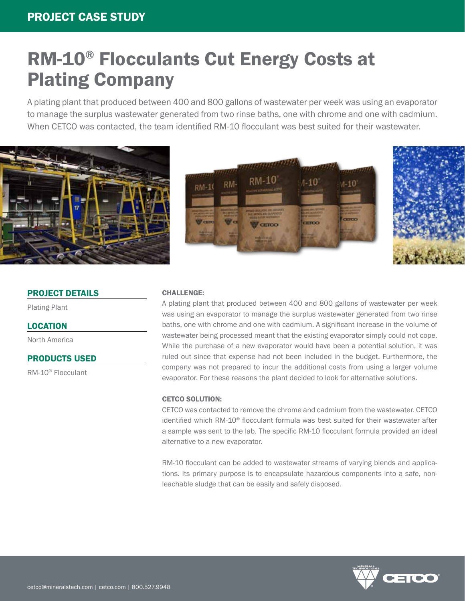# RM-10® Flocculants Cut Energy Costs at Plating Company

A plating plant that produced between 400 and 800 gallons of wastewater per week was using an evaporator to manage the surplus wastewater generated from two rinse baths, one with chrome and one with cadmium. When CETCO was contacted, the team identified RM-10 flocculant was best suited for their wastewater.







# PROJECT DETAILS

Plating Plant

## LOCATION

North America

## PRODUCTS USED

RM-10® Flocculant

#### CHALLENGE:

A plating plant that produced between 400 and 800 gallons of wastewater per week was using an evaporator to manage the surplus wastewater generated from two rinse baths, one with chrome and one with cadmium. A significant increase in the volume of wastewater being processed meant that the existing evaporator simply could not cope. While the purchase of a new evaporator would have been a potential solution, it was ruled out since that expense had not been included in the budget. Furthermore, the company was not prepared to incur the additional costs from using a larger volume evaporator. For these reasons the plant decided to look for alternative solutions.

#### CETCO SOLUTION:

CETCO was contacted to remove the chrome and cadmium from the wastewater. CETCO identified which RM-10® flocculant formula was best suited for their wastewater after a sample was sent to the lab. The specific RM-10 flocculant formula provided an ideal alternative to a new evaporator.

RM-10 flocculant can be added to wastewater streams of varying blends and applications. Its primary purpose is to encapsulate hazardous components into a safe, nonleachable sludge that can be easily and safely disposed.